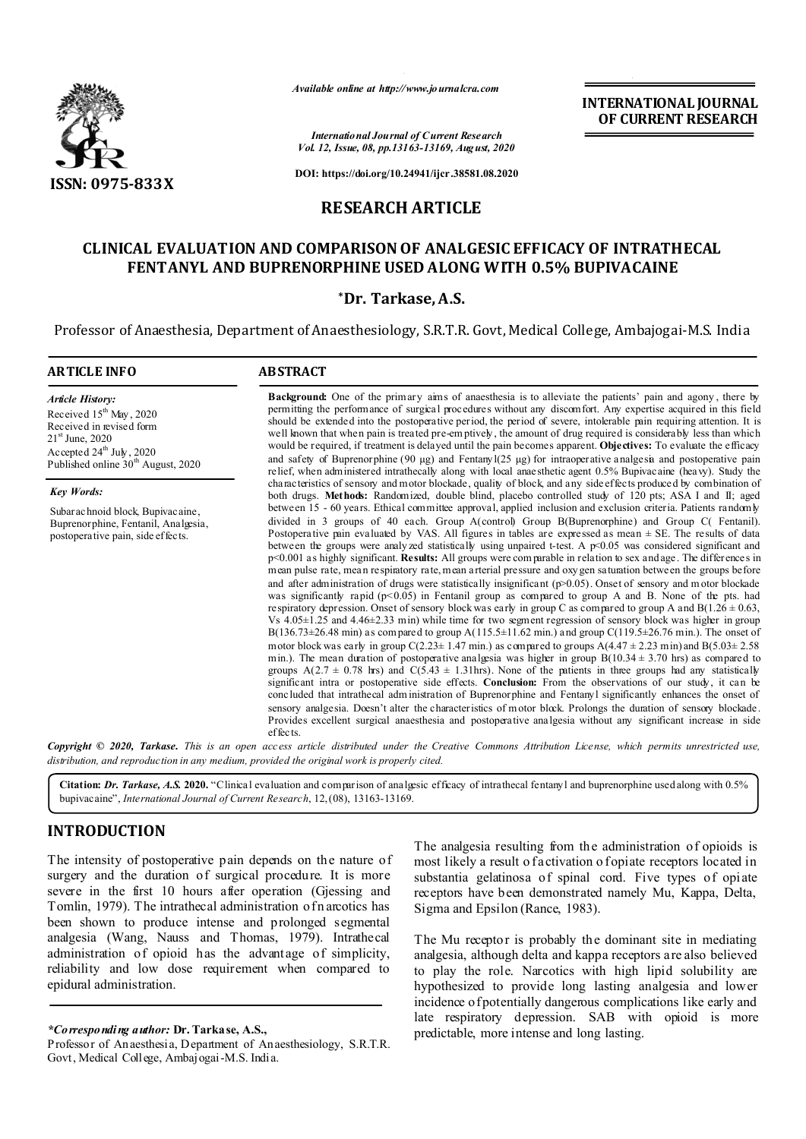

*Available online at http://www.journalcra.com*

*International Journal of Current Research Vol. 12, Issue, 08, pp.13163-13169, August, 2020*

**DOI: https://doi.org/10.24941/ijcr.38581.08.2020**

# **RESEARCH ARTICLE**

# **CLINICAL EVALUATION AND COMPARISON OF ANALGESIC EFFICACY OF INTRATHECAL FENTANYL AND BUPRENORPHINE USED ALONG WITH 0.5% BUPIVACAINE**

## **\*Dr. Tarkase, A.S.**

Professor of Anaesthesia, Department of Anaesthesiology, S.R.T.R. Govt, Medical College, Ambajogai-M.S. India

| <b>ARTICLE INFO</b>                                                                                                                                                                                              | <b>ABSTRACT</b>                                                                                                                                                                                                                                                                                                                                                                                                                                                                                                                                                                                                                                                                                                                                                                                                                                                                                                                                                                                                                                                                                                                                                                                                                                                                                                                                                                                                                                                                                                                                                                                                                                                                                                                                                                                                                                                                                                                                                                                                                                                                                                                                                                                  |  |  |  |  |
|------------------------------------------------------------------------------------------------------------------------------------------------------------------------------------------------------------------|--------------------------------------------------------------------------------------------------------------------------------------------------------------------------------------------------------------------------------------------------------------------------------------------------------------------------------------------------------------------------------------------------------------------------------------------------------------------------------------------------------------------------------------------------------------------------------------------------------------------------------------------------------------------------------------------------------------------------------------------------------------------------------------------------------------------------------------------------------------------------------------------------------------------------------------------------------------------------------------------------------------------------------------------------------------------------------------------------------------------------------------------------------------------------------------------------------------------------------------------------------------------------------------------------------------------------------------------------------------------------------------------------------------------------------------------------------------------------------------------------------------------------------------------------------------------------------------------------------------------------------------------------------------------------------------------------------------------------------------------------------------------------------------------------------------------------------------------------------------------------------------------------------------------------------------------------------------------------------------------------------------------------------------------------------------------------------------------------------------------------------------------------------------------------------------------------|--|--|--|--|
| <b>Article History:</b><br>Received 15 <sup>th</sup> May, 2020<br>Received in revised form<br>$21^{\rm st}$ June, 2020<br>Accepted $24^{\text{th}}$ July, 2020<br>Published online 30 <sup>th</sup> August, 2020 | <b>Background:</b> One of the primary aims of anaesthesia is to alleviate the patients' pain and agony, there by<br>permitting the performance of surgical procedures without any discomfort. Any expertise acquired in this field<br>should be extended into the postoperative period, the period of severe, intolerable pain requiring attention. It is<br>well known that when pain is treated pre-emptively, the amount of drug required is considerably less than which<br>would be required, if treatment is delayed until the pain becomes apparent. Objectives: To evaluate the efficacy<br>and safety of Buprenorphine (90 µg) and Fentany $1(25 \mu g)$ for intraoperative analgesn and postoperative pain<br>relief, when administered intrathecally along with local anaesthetic agent 0.5% Bupivacaine (heavy). Study the                                                                                                                                                                                                                                                                                                                                                                                                                                                                                                                                                                                                                                                                                                                                                                                                                                                                                                                                                                                                                                                                                                                                                                                                                                                                                                                                                           |  |  |  |  |
| <b>Key Words:</b>                                                                                                                                                                                                | characteristics of sensory and motor blockade, quality of block, and any side effects produced by combination of<br>both drugs. Methods: Randomized, double blind, placebo controlled study of 120 pts; ASA I and II; aged                                                                                                                                                                                                                                                                                                                                                                                                                                                                                                                                                                                                                                                                                                                                                                                                                                                                                                                                                                                                                                                                                                                                                                                                                                                                                                                                                                                                                                                                                                                                                                                                                                                                                                                                                                                                                                                                                                                                                                       |  |  |  |  |
| Subarachnoid block, Bupivacaine,<br>Buprenorphine, Fentanil, Analgesia,<br>postoperative pain, side effects.                                                                                                     | between 15 - 60 years. Ethical committee approval, applied inclusion and exclusion criteria. Patients randomly<br>divided in 3 groups of 40 each. Group A(control) Group B(Buprenorphine) and Group C(Fentanil).<br>Postoperative pain evaluated by VAS. All figures in tables are expressed as mean $\pm$ SE. The results of data<br>between the groups were analyzed statistically using unpaired t-test. A $p<0.05$ was considered significant and<br>$p<0.001$ as highly significant. <b>Results:</b> All groups were comparable in relation to sex and age. The differences in<br>mean pulse rate, mean respiratory rate, mean arterial pressure and oxygen saturation between the groups before<br>and after administration of drugs were statistically insignificant ( $p>0.05$ ). Onset of sensory and motor blockade<br>was significantly rapid ( $p<0.05$ ) in Fentanil group as compared to group A and B. None of the pts. had<br>respiratory depression. Onset of sensory block was early in group C as compared to group A and B $(1.26 \pm 0.63,$<br>Vs $4.05\pm1.25$ and $4.46\pm2.33$ min) while time for two segment regression of sensory block was higher in group<br>$B(136.73 \pm 26.48 \text{ min})$ as compared to group A(115.5±11.62 min.) and group C(119.5±26.76 min.). The onset of<br>motor block was early in group $C(2.23 \pm 1.47 \text{ min.})$ as compared to groups $A(4.47 \pm 2.23 \text{ min})$ and $B(5.03 \pm 2.58 \text{ min.})$<br>min.). The mean duration of postoperative analgesia was higher in group $B(10.34 \pm 3.70)$ hrs) as compared to<br>groups A(2.7 $\pm$ 0.78 hrs) and C(5.43 $\pm$ 1.31hrs). None of the patients in three groups had any statistically<br>significant intra or postoperative side effects. Conclusion: From the observations of our study, it can be<br>concluded that intrathecal administration of Buprenorphine and Fentanyl significantly enhances the onset of<br>sensory analgesia. Doesn't alter the characteristics of motor block. Prolongs the duration of sensory blockade.<br>Provides excellent surgical anaesthesia and postoperative analgesia without any significant increase in side<br>effects. |  |  |  |  |
|                                                                                                                                                                                                                  | Copyright © 2020, Tarkase. This is an open access article distributed under the Creative Commons Attribution License, which permits unrestricted use,                                                                                                                                                                                                                                                                                                                                                                                                                                                                                                                                                                                                                                                                                                                                                                                                                                                                                                                                                                                                                                                                                                                                                                                                                                                                                                                                                                                                                                                                                                                                                                                                                                                                                                                                                                                                                                                                                                                                                                                                                                            |  |  |  |  |

*distribution, and reproduction in any medium, provided the original work is properly cited.*

**Citation:** *Dr. Tarkase, A.S.* **2020.** "Clinical evaluation and comparison of analgesic efficacy of intrathecal fentanyl and buprenorphine used along with 0.5% bupivacaine", *International Journal of Current Research*, 12,(08), 13163-13169.

# **INTRODUCTION**

The intensity of postoperative pain depends on the nature of surgery and the duration of surgical procedure. It is more severe in the first 10 hours after operation (Gjessing and Tomlin, 1979). The intrathecal administration of n arcotics has been shown to produce intense and prolonged segmental analgesia (Wang, Nauss and Thomas, 1979). Intrathecal administration of opioid has the advantage of simplicity, reliability and low dose requirement when compared to epidural administration.

### *\*Corresponding author:* **Dr. Tarkase, A.S.,**

The analgesia resulting from the administration of opioids is most likely a result o factivation o fopiate receptors located in substantia gelatinosa of spinal cord. Five types of opiate receptors have been demonstrated namely Mu, Kappa, Delta, Sigma and Epsilon (Rance, 1983).

**INTERNATIONAL JOURNAL OF CURRENT RESEARCH**

The Mu receptor is probably the dominant site in mediating analgesia, although delta and kappa receptors are also believed to play the role. Narcotics with high lipid solubility are hypothesized to provide long lasting analgesia and lower incidence of potentially dangerous complications like early and late respiratory depression. SAB with opioid is more predictable, more intense and long lasting.

Professor of Anaesthesia, Department of Anaesthesiology, S.R.T.R. Govt, Medical College, Ambajogai-M.S. India.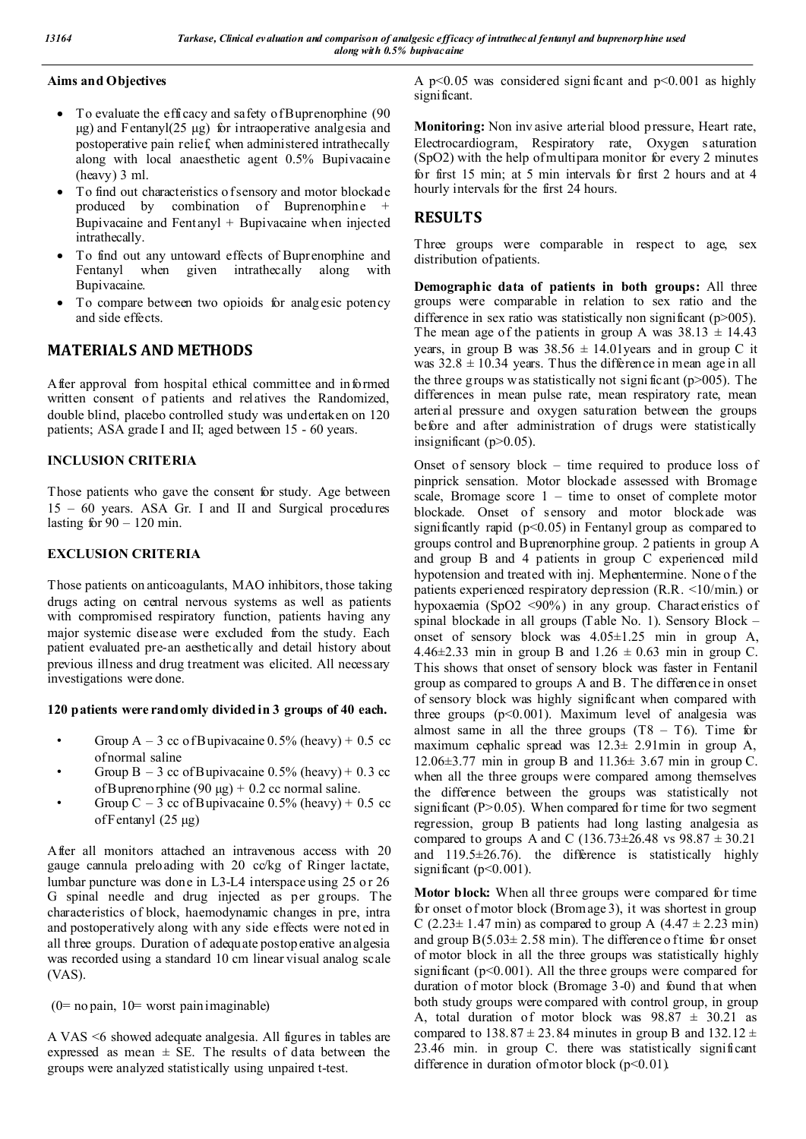## **Aims and Objectives**

- To evaluate the efficacy and safety of Buprenorphine (90) μg) and Fentanyl(25 μg) for intraoperative analgesia and postoperative pain relief, when administered intrathecally along with local anaesthetic agent 0.5% Bupivacaine (heavy) 3 ml.
- To find out characteristics o f sensory and motor blockade produced by combination of Buprenorphine + Bupivacaine and Fentanyl + Bupivacaine when injected intrathecally.
- To find out any untoward effects of Buprenorphine and Fentanyl when given intrathecally along with Bupivacaine.
- To compare between two opioids for analgesic potency and side effects.

# **MATERIALS AND METHODS**

After approval from hospital ethical committee and informed written consent of patients and relatives the Randomized, double blind, placebo controlled study was undertaken on 120 patients; ASA grade I and II; aged between 15 - 60 years.

## **INCLUSION CRITERIA**

Those patients who gave the consent for study. Age between 15 – 60 years. ASA Gr. I and II and Surgical procedures lasting for  $90 - 120$  min.

## **EXCLUSION CRITERIA**

Those patients on anticoagulants, MAO inhibitors, those taking drugs acting on central nervous systems as well as patients with compromised respiratory function, patients having any major systemic disease were excluded from the study. Each patient evaluated pre-an aesthetically and detail history about previous illness and drug treatment was elicited. All necessary investigations were done.

## **120 patients were randomly divided in 3 groups of 40 each.**

- Group  $A 3$  cc of Bupivacaine 0.5% (heavy) + 0.5 cc of normal saline
- Group  $B 3$  cc of Bupivacaine 0.5% (heavy) + 0.3 cc of Buprenorphine (90 μg) + 0.2 cc normal saline.
- Group C 3 cc of Bupivacaine  $0.5\%$  (heavy) + 0.5 cc of Fentanyl (25 μg)

After all monitors attached an intravenous access with 20 gauge cannula preloading with 20 cc/kg of Ringer lactate, lumbar puncture was done in L3-L4 interspace using 25 or 26 G spinal needle and drug injected as per groups. The characteristics of block, haemodynamic changes in pre, intra and postoperatively along with any side effects were noted in all three groups. Duration of adequate postoperative analgesia was recorded using a standard 10 cm linear visual analog scale (VAS).

 $(0=$  no pain,  $10=$  worst pain imaginable)

A VAS <6 showed adequate analgesia. All figures in tables are expressed as mean  $\pm$  SE. The results of data between the groups were analyzed statistically using unpaired t-test.

A  $p<0.05$  was considered significant and  $p<0.001$  as highly significant.

**Monitoring:** Non inv asive arterial blood pressure, Heart rate, Electrocardiogram, Respiratory rate, Oxygen saturation (SpO2) with the help of multipara monitor for every 2 minutes for first 15 min; at 5 min intervals for first 2 hours and at 4 hourly intervals for the first 24 hours.

# **RESULTS**

Three groups were comparable in respect to age, sex distribution of patients.

**Demographic data of patients in both groups:** All three groups were comparable in relation to sex ratio and the difference in sex ratio was statistically non significant ( $p > 005$ ). The mean age of the patients in group A was  $38.13 \pm 14.43$ years, in group B was  $38.56 \pm 14.01$  years and in group C it was  $32.8 \pm 10.34$  years. Thus the difference in mean age in all the three groups was statistically not significant  $(p>005)$ . The differences in mean pulse rate, mean respiratory rate, mean arterial pressure and oxygen saturation between the groups before and after administration of drugs were statistically insignificant (p>0.05).

Onset of sensory block – time required to produce loss of pinprick sensation. Motor blockade assessed with Bromage scale, Bromage score  $1 - \text{time}$  to onset of complete motor blockade. Onset of sensory and motor blockade was significantly rapid  $(p<0.05)$  in Fentanyl group as compared to groups control and Buprenorphine group. 2 patients in group A and group B and 4 patients in group C experienced mild hypotension and treated with inj. Mephentermine. None o f the patients experienced respiratory depression (R.R. <10/min.) or hypoxaemia (SpO2 <90%) in any group. Characteristics of spinal blockade in all groups (Table No. 1). Sensory Block – onset of sensory block was 4.05±1.25 min in group A, 4.46 $\pm$ 2.33 min in group B and 1.26  $\pm$  0.63 min in group C. This shows that onset of sensory block was faster in Fentanil group as compared to groups A and B. The difference in onset of sensory block was highly significant when compared with three groups  $(p<0.001)$ . Maximum level of analgesia was almost same in all the three groups  $(T8 - T6)$ . Time for maximum cephalic spread was 12.3± 2.91min in group A, 12.06±3.77 min in group B and 11.36± 3.67 min in group C. when all the three groups were compared among themselves the difference between the groups was statistically not significant  $(P>0.05)$ . When compared for time for two segment regression, group B patients had long lasting analgesia as compared to groups A and C (136.73 $\pm$ 26.48 vs 98.87  $\pm$  30.21 and  $119.5\pm 26.76$ ). the difference is statistically highly significant ( $p<0.001$ ).

**Motor block:** When all three groups were compared for time for onset of motor block (Bromage 3), it was shortest in group C (2.23 $\pm$  1.47 min) as compared to group A (4.47  $\pm$  2.23 min) and group  $B(5.03 \pm 2.58 \text{ min})$ . The difference o f time for onset of motor block in all the three groups was statistically highly significant ( $p<0.001$ ). All the three groups were compared for duration of motor block (Bromage 3-0) and found that when both study groups were compared with control group, in group A, total duration of motor block was  $98.87 \pm 30.21$  as compared to  $138.87 \pm 23.84$  minutes in group B and  $132.12 \pm$ 23.46 min. in group C. there was statistically significant difference in duration of motor block  $(p<0.01)$ .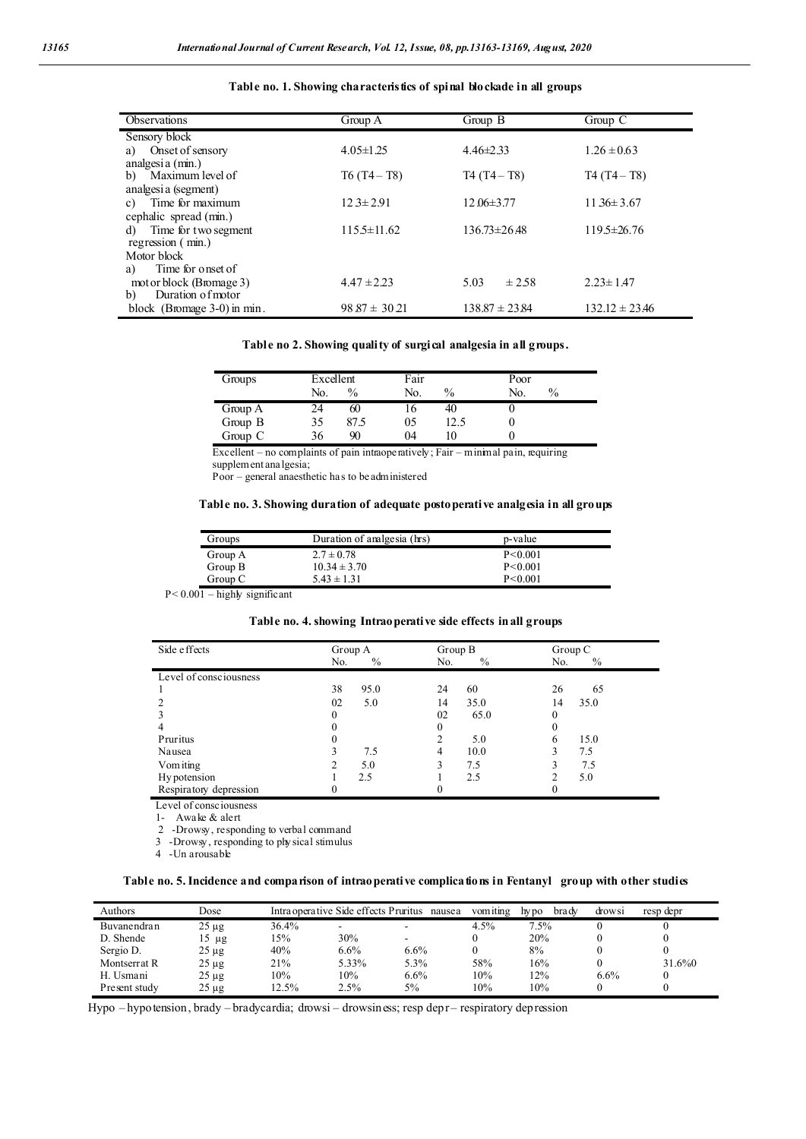| Observations                   | Group A           | Group B            | Group $C$          |
|--------------------------------|-------------------|--------------------|--------------------|
| Sensory block                  |                   |                    |                    |
| Onset of sensory<br>a)         | $4.05 \pm 1.25$   | $4.46 \pm 2.33$    | $1.26 \pm 0.63$    |
| analgesia (min.)               |                   |                    |                    |
| Maximum level of<br>b)         | $T6(T4-T8)$       | $T4(T4-T8)$        | $T4(T4-T8)$        |
| analgesi a (segment)           |                   |                    |                    |
| Time for maximum<br>c)         | $12.3 \pm 2.91$   | $12.06 \pm 3.77$   | $1136 \pm 3.67$    |
| cephalic spread (min.)         |                   |                    |                    |
| Time for two segment<br>d)     | $115.5 \pm 11.62$ | $136.73 \pm 26.48$ | $119.5 \pm 26.76$  |
| regression (min.)              |                   |                    |                    |
| Motor block                    |                   |                    |                    |
| Time for onset of<br>a)        |                   |                    |                    |
| mot or block (Bromage 3)       | $4.47 \pm 2.23$   | ± 2.58<br>5.03     | $2.23 \pm 1.47$    |
| Duration of motor<br>b)        |                   |                    |                    |
| block (Bromage $3-0$ ) in min. | $98.87 \pm 30.21$ | $138.87 \pm 23.84$ | $132.12 \pm 23.46$ |

### **Table no. 1. Showing characteristics of spinal blockade in all groups**

**Table no 2. Showing quality of surgical analgesia in all groups.**

| Groups  | Excellent |               | Fair |               | Poor |               |
|---------|-----------|---------------|------|---------------|------|---------------|
|         | No.       | $\frac{0}{0}$ | No.  | $\frac{0}{0}$ | No.  | $\frac{0}{0}$ |
| Group A | 24        | 60            |      | 40            |      |               |
| Group B | 35        | 87.5          | 05   | 12.5          |      |               |
| Group C | 36        | 90            | 04   | ۱0            |      |               |

Excellent – no complaints of pain intraoperatively; Fair – minimal pain, requiring supplement analgesia;

Poor – general anaesthetic has to be administered

### **Table no. 3. Showing duration of adequate postoperative analgesia in all groups**

| Groups  | Duration of analgesia (hrs) | p-value   |
|---------|-----------------------------|-----------|
| Group A | $2.7 \pm 0.78$              | P < 0.001 |
| Group B | $10.34 \pm 3.70$            | P < 0.001 |
| Group C | $5.43 \pm 1.31$             | P < 0.001 |

 $P < 0.001 -$ highly significant

### **Table no. 4.showing Intraoperative side effects in all groups**

| Side effects           | Group A<br>$\%$<br>No. | Group B<br>$\%$<br>No. | Group C<br>$\%$<br>No. |
|------------------------|------------------------|------------------------|------------------------|
| Level of consciousness |                        |                        |                        |
| 1                      | 38<br>95.0             | 24<br>60               | 26<br>65               |
| $\overline{2}$         | 02<br>5.0              | 35.0<br>14             | 35.0<br>14             |
| 3                      | 0                      | 02<br>65.0             | 0                      |
| $\overline{4}$         | O                      | 0                      | 0                      |
| Pruritus               | 0                      | 2<br>5.0               | 15.0                   |
| Nausea                 | 7.5                    | 10.0<br>4              | 7.5                    |
| Vomiting               | 5.0<br>2               | 3<br>7.5               | 7.5                    |
| Hy potension           | 2.5                    | 2.5                    | 5.0                    |
| Respiratory depression | 0                      | 0                      | 0                      |

Level of consciousness

1- Awake & alert

2 -Drowsy, responding to verbal command

3 -Drowsy, responding to physical stimulus

4 -Un arousable

### **Table no. 5.Incidence and comparison of intraoperative complications in Fentanyl group with other studies**

| Authors       | Dose       |       |       | Intra operative Side effects Pruritus nausea | vomiting | bra dv<br>hy po | drows1 | resp depr |
|---------------|------------|-------|-------|----------------------------------------------|----------|-----------------|--------|-----------|
| Buvanendran   | $25 \mu g$ | 36.4% | -     |                                              | 4.5%     | $7.5\%$         |        |           |
| D. Shende     | $15 \mu$ g | 15%   | 30%   | -                                            |          | 20%             |        |           |
| Sergio D.     | $25 \mu$ g | 40%   | 6.6%  | 6.6%                                         |          | 8%              |        |           |
| Montserrat R  | $25 \mu g$ | 21%   | 5.33% | 5.3%                                         | 58%      | 16%             |        | 31.6%0    |
| H. Usmani     | $25 \mu$ g | 10%   | 10%   | 6.6%                                         | 10%      | $2\%$           | 6.6%   |           |
| Present study | $25 \mu g$ | 12.5% | 2.5%  | 5%                                           | 10%      | 10%             |        |           |

Hypo – hypotension, brady – bradycardia; drowsi – drowsiness; resp depr- respiratory depression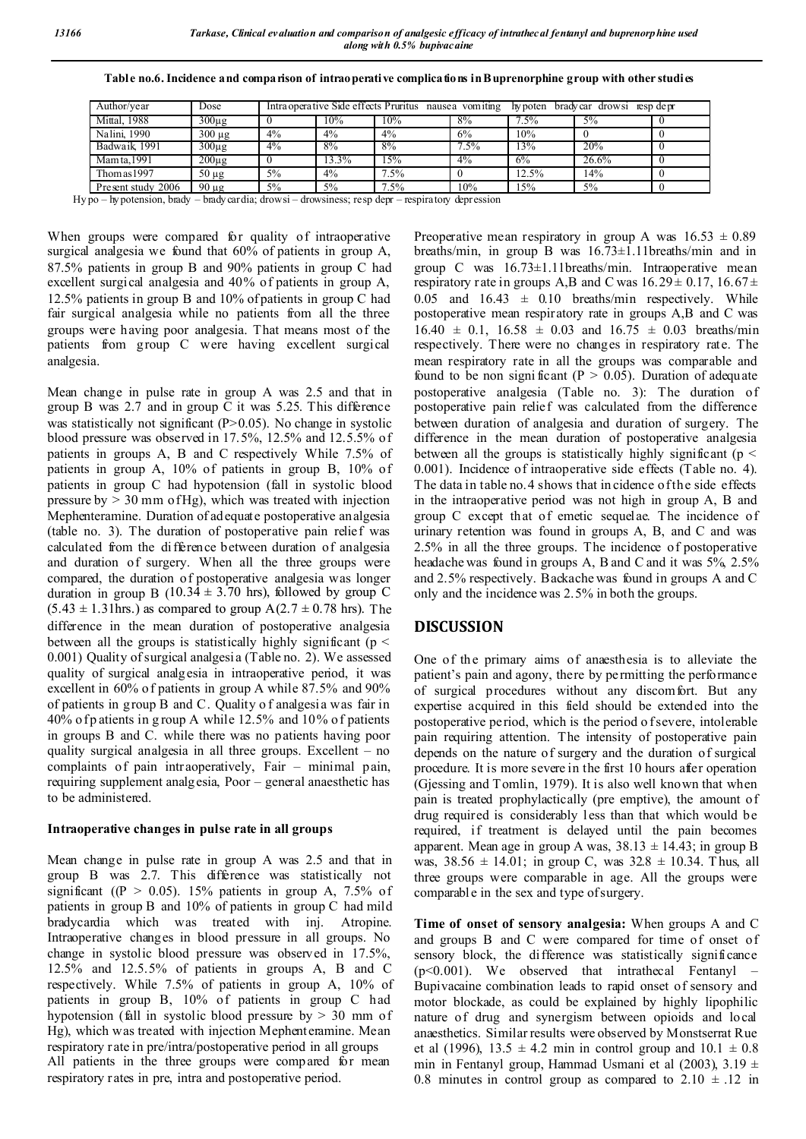| Dose                      |       | Intraoperative Side effects Pruritus nausea vomiting |         |       | hypoten bradycar drowsi resp depr |  |
|---------------------------|-------|------------------------------------------------------|---------|-------|-----------------------------------|--|
| $300\mu g$                | 10%   | 10%                                                  | 8%      | 7.5%  | $5\%$                             |  |
| 4%<br>$300 \mu g$         | 4%    | 4%                                                   | 6%      | 10%   |                                   |  |
| $4\sqrt{6}$<br>$300\mu$ g | 8%    | 8%                                                   | $7.5\%$ | 13%   | 20%                               |  |
| $200\mu$ g                | 13.3% | 15%                                                  | $4\%$   | 6%    | $26.6\%$                          |  |
| $5\%$<br>$50 \mu g$       | 4%    | $7.5\%$                                              |         | 12.5% | 14%                               |  |
| 5%<br>$90 \mu g$          | 5%    | $7.5\%$                                              | 10%     | 15%   | $5\%$                             |  |
|                           |       |                                                      |         |       |                                   |  |

**Table no.6. Incidence and comparison of intraoperative complications in Buprenorphine group with other studies**

Hy po – hypotension, brady – bradycardia; drowsi – drowsiness; resp depr – respiratory depression

When groups were compared for quality of intraoperative surgical analgesia we found that 60% of patients in group A, 87.5% patients in group B and 90% patients in group C had excellent surgical analgesia and 40% of patients in group A, 12.5% patients in group B and 10% of patients in group C had fair surgical analgesia while no patients from all the three groups were having poor analgesia. That means most of the patients from group C were having excellent surgical analgesia.

Mean change in pulse rate in group A was 2.5 and that in group B was 2.7 and in group C it was 5.25. This difference was statistically not significant  $(P>0.05)$ . No change in systolic blood pressure was observed in 17.5%, 12.5% and 12.5.5% of patients in groups A, B and C respectively While 7.5% of patients in group A, 10% of patients in group B, 10% of patients in group C had hypotension (fall in systolic blood pressure by  $> 30$  mm of Hg), which was treated with injection Mephenteramine. Duration of adequate postoperative analgesia (table no. 3). The duration of postoperative pain relief was calculated from the difference between duration of analgesia and duration of surgery. When all the three groups were compared, the duration of postoperative analgesia was longer duration in group B  $(10.34 \pm 3.70 \text{ hrs})$ , followed by group C  $(5.43 \pm 1.31$ hrs.) as compared to group A $(2.7 \pm 0.78$  hrs). The difference in the mean duration of postoperative analgesia between all the groups is statistically highly significant ( $p <$ 0.001) Quality of surgical analgesia (Table no. 2). We assessed quality of surgical analgesia in intraoperative period, it was excellent in 60% of patients in group A while 87.5% and 90% of patients in group B and C. Quality o f analgesia was fair in 40% of p atients in g roup A while 12.5% and 10% of patients in groups B and C. while there was no patients having poor quality surgical analgesia in all three groups. Excellent – no complaints of pain intraoperatively, Fair – minimal pain, requiring supplement analgesia, Poor – general anaesthetic has to be administered.

### **Intraoperative changes in pulse rate in all groups**

Mean change in pulse rate in group A was 2.5 and that in group B was 2.7. This difference was statistically not significant ( $(P > 0.05)$ . 15% patients in group A, 7.5% of patients in group B and 10% of patients in group C had mild bradycardia which was treated with inj. Atropine. Intraoperative changes in blood pressure in all groups. No change in systolic blood pressure was observed in 17.5%, 12.5% and 12.5.5% of patients in groups A, B and C respectively. While 7.5% of patients in group A, 10% of patients in group B, 10% of patients in group C had hypotension (fall in systolic blood pressure by  $> 30$  mm of Hg), which was treated with injection Mephenteramine. Mean respiratory rate in pre/intra/postoperative period in all groups All patients in the three groups were compared for mean respiratory rates in pre, intra and postoperative period.

Preoperative mean respiratory in group A was  $16.53 \pm 0.89$ breaths/min, in group B was 16.73±1.11breaths/min and in group C was 16.73±1.11breaths/min. Intraoperative mean respiratory rate in groups A,B and C was  $16.29 \pm 0.17$ ,  $16.67 \pm$ 0.05 and  $16.43 \pm 0.10$  breaths/min respectively. While postoperative mean respiratory rate in groups A,B and C was  $16.40 \pm 0.1$ ,  $16.58 \pm 0.03$  and  $16.75 \pm 0.03$  breaths/min respectively. There were no changes in respiratory rate. The mean respiratory rate in all the groups was comparable and found to be non significant ( $P > 0.05$ ). Duration of adequate postoperative analgesia (Table no. 3): The duration of postoperative pain relief was calculated from the difference between duration of analgesia and duration of surgery. The difference in the mean duration of postoperative analgesia between all the groups is statistically highly significant ( $p <$ 0.001). Incidence of intraoperative side effects (Table no. 4). The data in table no.4 shows that in cidence of the side effects in the intraoperative period was not high in group A, B and group C except that of emetic sequelae. The incidence of urinary retention was found in groups A, B, and C and was 2.5% in all the three groups. The incidence of postoperative headache was found in groups A, B and C and it was 5%, 2.5% and 2.5% respectively. Backache was found in groups A and C only and the incidence was 2.5% in both the groups.

# **DISCUSSION**

One of the primary aims of anaesthesia is to alleviate the patient's pain and agony, there by permitting the performance of surgical procedures without any discomfort. But any expertise acquired in this field should be extended into the postoperative period, which is the period o f severe, intolerable pain requiring attention. The intensity of postoperative pain depends on the nature of surgery and the duration of surgical procedure. It is more severe in the first 10 hours after operation (Gjessing and Tomlin, 1979). It is also well known that when pain is treated prophylactically (pre emptive), the amount of drug required is considerably less than that which would be required, if treatment is delayed until the pain becomes apparent. Mean age in group A was,  $38.13 \pm 14.43$ ; in group B was,  $38.56 \pm 14.01$ ; in group C, was  $32.8 \pm 10.34$ . Thus, all three groups were comparable in age. All the groups were comparable in the sex and type of surgery.

**Time of onset of sensory analgesia:** When groups A and C and groups B and C were compared for time of onset of sensory block, the difference was statistically significance  $(p<0.001)$ . We observed that intrathecal Fentanyl – Bupivacaine combination leads to rapid onset of sensory and motor blockade, as could be explained by highly lipophilic nature of drug and synergism between opioids and local anaesthetics. Similar results were observed by Monstserrat Rue et al (1996),  $13.5 \pm 4.2$  min in control group and  $10.1 \pm 0.8$ min in Fentanyl group, Hammad Usmani et al (2003),  $3.19 \pm$ 0.8 minutes in control group as compared to  $2.10 \pm .12$  in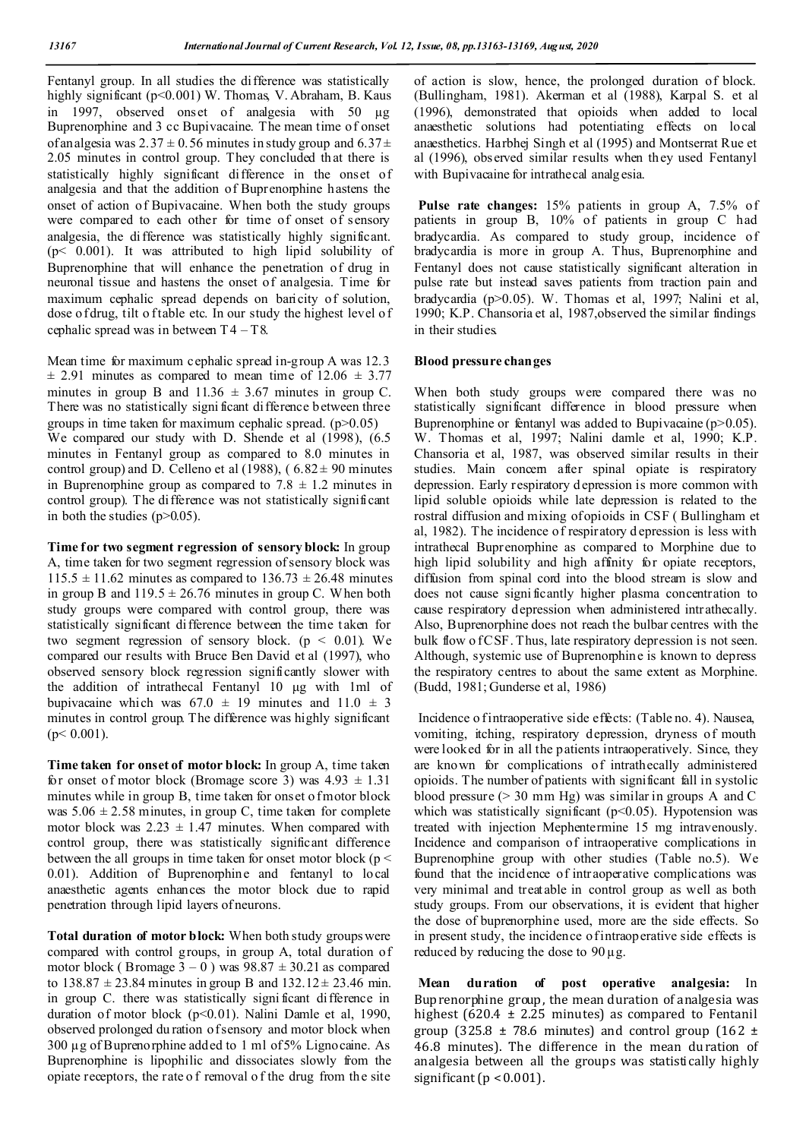Fentanyl group. In all studies the difference was statistically highly significant (p<0.001) W. Thomas, V. Abraham, B. Kaus in 1997, observed onset of analgesia with 50 µg Buprenorphine and 3 cc Bupivacaine. The mean time of onset of analgesia was  $2.37 \pm 0.56$  minutes in study group and  $6.37 \pm$ 2.05 minutes in control group. They concluded that there is statistically highly significant difference in the onset of analgesia and that the addition of Buprenorphine hastens the onset of action of Bupivacaine. When both the study groups were compared to each other for time of onset of sensory analgesia, the difference was statistically highly significant. ( $p$ < 0.001). It was attributed to high lipid solubility of Buprenorphine that will enhance the penetration of drug in neuronal tissue and hastens the onset of analgesia. Time for maximum cephalic spread depends on baricity of solution, dose of drug, tilt of table etc. In our study the highest level of cephalic spread was in between  $T4 - T8$ .

Mean time for maximum cephalic spread in-group A was 12.3  $\pm$  2.91 minutes as compared to mean time of 12.06  $\pm$  3.77 minutes in group B and  $11.36 \pm 3.67$  minutes in group C. There was no statistically signi ficant difference between three groups in time taken for maximum cephalic spread.  $(p>0.05)$ We compared our study with D. Shende et al (1998), (6.5 minutes in Fentanyl group as compared to 8.0 minutes in control group) and D. Celleno et al (1988), ( $6.82 \pm 90$  minutes in Buprenorphine group as compared to  $7.8 \pm 1.2$  minutes in control group). The di fference was not statistically significant in both the studies  $(p>0.05)$ .

**Time for two segment regression of sensory block:** In group A, time taken for two segment regression of sensory block was  $115.5 \pm 11.62$  minutes as compared to  $136.73 \pm 26.48$  minutes in group B and  $119.5 \pm 26.76$  minutes in group C. When both study groups were compared with control group, there was statistically significant difference between the time taken for two segment regression of sensory block. ( $p \leq 0.01$ ). We compared our results with Bruce Ben David et al (1997), who observed sensory block regression significantly slower with the addition of intrathecal Fentanyl 10 μg with 1ml of bupivacaine which was  $67.0 \pm 19$  minutes and  $11.0 \pm 3$ minutes in control group. The difference was highly significant  $(p< 0.001)$ .

**Time taken for onset of motor block:** In group A, time taken for onset of motor block (Bromage score 3) was  $4.93 \pm 1.31$ minutes while in group B, time taken for onset of motor block was  $5.06 \pm 2.58$  minutes, in group C, time taken for complete motor block was  $2.23 \pm 1.47$  minutes. When compared with control group, there was statistically significant difference between the all groups in time taken for onset motor block ( $p <$ 0.01). Addition of Buprenorphine and fentanyl to local anaesthetic agents enhances the motor block due to rapid penetration through lipid layers of neurons.

**Total duration of motor block:** When both study groups were compared with control groups, in group A, total duration of motor block (Bromage  $3 - 0$ ) was  $98.87 \pm 30.21$  as compared to  $138.87 \pm 23.84$  minutes in group B and  $132.12 \pm 23.46$  min. in group C. there was statistically signi ficant difference in duration of motor block (p<0.01). Nalini Damle et al, 1990, observed prolonged du ration of sensory and motor block when 300 µg of Buprenorphine added to 1 ml of 5% Lignocaine. As Buprenorphine is lipophilic and dissociates slowly from the opiate receptors, the rate o f removal o f the drug from the site

of action is slow, hence, the prolonged duration of block. (Bullingham, 1981). Akerman et al (1988), Karpal S. et al (1996), demonstrated that opioids when added to local anaesthetic solutions had potentiating effects on local anaesthetics. Harbhej Singh et al (1995) and Montserrat Rue et al (1996), observed similar results when they used Fentanyl with Bupivacaine for intrathecal analgesia.

**Pulse rate changes:** 15% patients in group A, 7.5% of patients in group B, 10% of patients in group C had bradycardia. As compared to study group, incidence of bradycardia is more in group A. Thus, Buprenorphine and Fentanyl does not cause statistically significant alteration in pulse rate but instead saves patients from traction pain and bradycardia (p>0.05). W. Thomas et al, 1997; Nalini et al, 1990; K.P. Chansoria et al, 1987,observed the similar findings in their studies.

### **Blood pressure changes**

When both study groups were compared there was no statistically significant difference in blood pressure when Buprenorphine or fentanyl was added to Bupivacaine ( $p > 0.05$ ). W. Thomas et al, 1997; Nalini damle et al, 1990; K.P. Chansoria et al, 1987, was observed similar results in their studies. Main concern after spinal opiate is respiratory depression. Early respiratory d epression is more common with lipid soluble opioids while late depression is related to the rostral diffusion and mixing of opioids in CSF ( Bullingham et al, 1982). The incidence of respiratory d epression is less with intrathecal Buprenorphine as compared to Morphine due to high lipid solubility and high affinity for opiate receptors, diffusion from spinal cord into the blood stream is slow and does not cause signi ficantly higher plasma concentration to cause respiratory depression when administered intrathecally. Also, Buprenorphine does not reach the bulbar centres with the bulk flow of CSF. Thus, late respiratory depression is not seen. Although, systemic use of Buprenorphine is known to depress the respiratory centres to about the same extent as Morphine. (Budd, 1981; Gunderse et al, 1986)

Incidence o f intraoperative side effects: (Table no. 4). Nausea, vomiting, itching, respiratory depression, dryness of mouth were looked for in all the patients intraoperatively. Since, they are known for complications of intrathecally administered opioids. The number of patients with significant fall in systolic blood pressure  $(> 30 \text{ mm Hg})$  was similar in groups A and C which was statistically significant ( $p<0.05$ ). Hypotension was treated with injection Mephentermine 15 mg intravenously. Incidence and comparison of intraoperative complications in Buprenorphine group with other studies (Table no.5). We found that the incidence of intraoperative complications was very minimal and treatable in control group as well as both study groups. From our observations, it is evident that higher the dose of buprenorphine used, more are the side effects. So in present study, the incidence of intraoperative side effects is reduced by reducing the dose to  $90 \mu$ g.

**Mean duration of post operative analgesia:** In Buprenorphine group, the mean duration of analgesia was highest (620.4  $\pm$  2.25 minutes) as compared to Fentanil group (325.8  $\pm$  78.6 minutes) and control group (162  $\pm$ 46.8 minutes). The difference in the mean duration of analgesia between all the groups was statisti cally highly significant ( $p < 0.001$ ).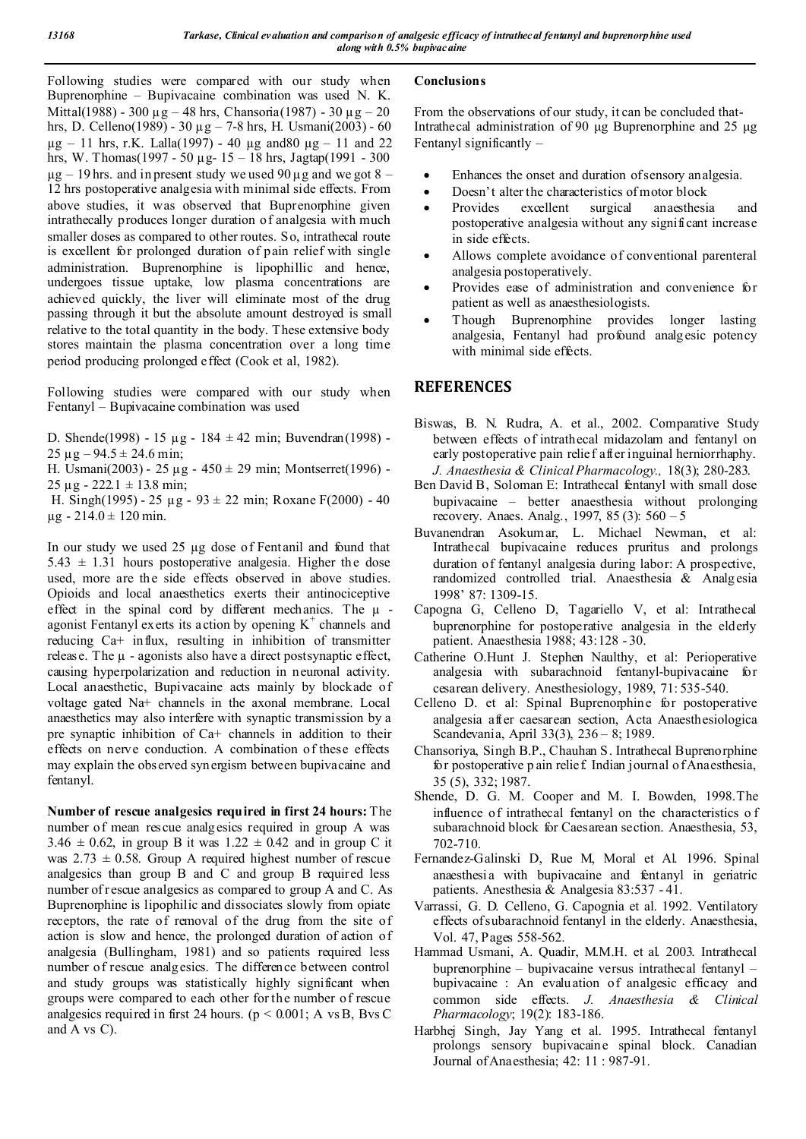Following studies were compared with our study when Buprenorphine – Bupivacaine combination was used N. K. Mittal(1988) - 300  $\mu$ g – 48 hrs, Chansoria(1987) - 30  $\mu$ g – 20 hrs, D. Celleno(1989) - 30  $\mu$ g – 7-8 hrs, H. Usmani(2003) - 60  $\mu$ g – 11 hrs, r.K. Lalla(1997) - 40  $\mu$ g and 80  $\mu$ g – 11 and 22 hrs, W. Thomas(1997 - 50 µg- 15 – 18 hrs, Jagtap(1991 - 300  $\mu$ g – 19 hrs. and in present study we used 90  $\mu$ g and we got 8 – 12 hrs postoperative analgesia with minimal side effects. From above studies, it was observed that Buprenorphine given intrathecally produces longer duration of analgesia with much smaller doses as compared to other routes. So, intrathecal route is excellent for prolonged duration of pain relief with single administration. Buprenorphine is lipophillic and hence, undergoes tissue uptake, low plasma concentrations are achieved quickly, the liver will eliminate most of the drug passing through it but the absolute amount destroyed is small relative to the total quantity in the body. These extensive body stores maintain the plasma concentration over a long time period producing prolonged effect (Cook et al, 1982).

Following studies were compared with our study when Fentanyl – Bupivacaine combination was used

D. Shende(1998) - 15 µg - 184 ± 42 min; Buvendran(1998) -  $25 \mu$ g – 94.5 ± 24.6 min;

H. Usmani(2003) - 25  $\mu$ g - 450  $\pm$  29 min; Montserret(1996) - $25 \mu$ g - 222.1  $\pm$  13.8 min;

H. Singh(1995) - 25  $\mu$ g - 93 ± 22 min; Roxane F(2000) - 40  $\mu$ g - 214.0 ± 120 min.

In our study we used 25 µg dose of Fentanil and found that  $5.43 \pm 1.31$  hours postoperative analgesia. Higher the dose used, more are the side effects observed in above studies. Opioids and local anaesthetics exerts their antinociceptive effect in the spinal cord by different mechanics. The  $\mu$  agonist Fentanyl exerts its action by opening  $K^+$  channels and reducing Ca+ influx, resulting in inhibition of transmitter release. The  $\mu$  - agonists also have a direct postsynaptic effect, causing hyperpolarization and reduction in neuronal activity. Local anaesthetic, Bupivacaine acts mainly by blockade of voltage gated Na+ channels in the axonal membrane. Local anaesthetics may also interfere with synaptic transmission by a pre synaptic inhibition of Ca+ channels in addition to their effects on nerve conduction. A combination of these effects may explain the observed synergism between bupivacaine and fentanyl.

**Number of rescue analgesics required in first 24 hours:** The number of mean rescue analgesics required in group A was  $3.46 \pm 0.62$ , in group B it was  $1.22 \pm 0.42$  and in group C it was  $2.73 \pm 0.58$ . Group A required highest number of rescue analgesics than group B and C and group B required less number of rescue analgesics as compared to group A and C. As Buprenorphine is lipophilic and dissociates slowly from opiate receptors, the rate of removal of the drug from the site of action is slow and hence, the prolonged duration of action of analgesia (Bullingham, 1981) and so patients required less number of rescue analgesics. The difference between control and study groups was statistically highly significant when groups were compared to each other for the number of rescue analgesics required in first 24 hours. ( $p \le 0.001$ ; A vs B, Bvs C and  $\overline{A}$  vs  $C$ ).

## **Conclusions**

From the observations of our study, it can be concluded that-Intrathecal administration of 90 μg Buprenorphine and 25 μg Fentanyl significantly –

- Enhances the onset and duration of sensory analgesia.
- Doesn't alter the characteristics of motor block
- Provides excellent surgical anaesthesia and postoperative analgesia without any significant increase in side effects.
- Allows complete avoidance of conventional parenteral analgesia postoperatively.
- Provides ease of administration and convenience for patient as well as anaesthesiologists.
- Though Buprenorphine provides longer lasting analgesia, Fentanyl had profound analgesic potency with minimal side effects.

# **REFERENCES**

- Biswas, B. N. Rudra, A. et al., 2002. Comparative Study between effects of intrathecal midazolam and fentanyl on early postoperative pain relief after inguinal herniorrhaphy. *J. Anaesthesia & Clinical Pharmacology.,* 18(3); 280-283.
- Ben David B, Soloman E: Intrathecal fentanyl with small dose bupivacaine – better anaesthesia without prolonging recovery. Anaes. Analg., 1997, 85 (3): 560 – 5
- Buvanendran Asokumar, L. Michael Newman, et al: Intrathecal bupivacaine reduces pruritus and prolongs duration of fentanyl analgesia during labor: A prospective, randomized controlled trial. Anaesthesia & Analgesia 1998' 87: 1309-15.
- Capogna G, Celleno D, Tagariello V, et al: Intrathecal buprenorphine for postoperative analgesia in the elderly patient. Anaesthesia 1988; 43:128 - 30.
- Catherine O.Hunt J. Stephen Naulthy, et al: Perioperative analgesia with subarachnoid fentanyl-bupivacaine for cesarean delivery. Anesthesiology, 1989, 71: 535-540.
- Celleno D. et al: Spinal Buprenorphine for postoperative analgesia after caesarean section, Acta Anaesthesiologica Scandevania, April 33(3), 236 – 8; 1989.
- Chansoriya, Singh B.P., Chauhan S. Intrathecal Buprenorphine for postoperative p ain relief. Indian journal o f Anaesthesia, 35 (5), 332; 1987.
- Shende, D. G. M. Cooper and M. I. Bowden, 1998.The influence of intrathecal fentanyl on the characteristics o f subarachnoid block for Caesarean section. Anaesthesia, 53, 702-710.
- Fernandez-Galinski D, Rue M, Moral et Al. 1996. Spinal anaesthesi a with bupivacaine and fentanyl in geriatric patients. Anesthesia & Analgesia 83:537 - 41.
- Varrassi, G. D. Celleno, G. Capognia et al. 1992. Ventilatory effects of subarachnoid fentanyl in the elderly. Anaesthesia, Vol. 47, Pages 558-562.
- Hammad Usmani, A. Quadir, M.M.H. et al. 2003. Intrathecal buprenorphine – bupivacaine versus intrathecal fentanyl – bupivacaine : An evaluation of analgesic efficacy and common side effects. *J. Anaesthesia & Clinical Pharmacology*; 19(2): 183-186.
- Harbhej Singh, Jay Yang et al. 1995. Intrathecal fentanyl prolongs sensory bupivacaine spinal block. Canadian Journal of Anaesthesia; 42: 11 : 987-91.